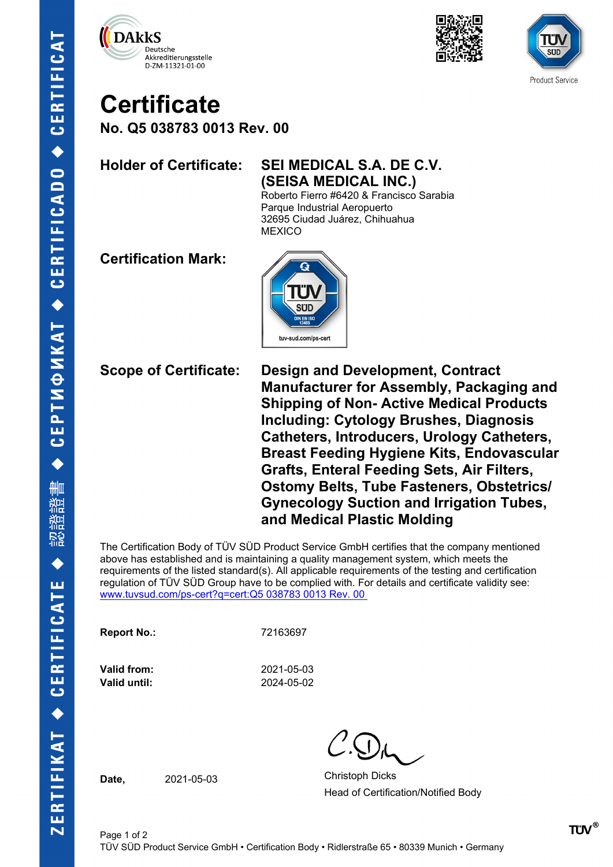





## **Certificate**

**No. Q5 038783 0013 Rev. 00**

## **Holder of Certificate: SEI MEDICAL S.A. DE C.V. (SEISA MEDICAL INC.)**

Roberto Fierro #6420 & Francisco Sarabia Parque Industrial Aeropuerto 32695 Ciudad Juárez, Chihuahua **MEXICO** 

**Certification Mark:**



**Scope of Certificate: Design and Development, Contract Manufacturer for Assembly, Packaging and Shipping of Non- Active Medical Products Including: Cytology Brushes, Diagnosis Catheters, Introducers, Urology Catheters, Breast Feeding Hygiene Kits, Endovascular Grafts, Enteral Feeding Sets, Air Filters, Ostomy Belts, Tube Fasteners, Obstetrics/ Gynecology Suction and Irrigation Tubes, and Medical Plastic Molding** 

The Certification Body of TÜV SÜD Product Service GmbH certifies that the company mentioned above has established and is maintaining a quality management system, which meets the requirements of the listed standard(s). All applicable requirements of the testing and certification regulation of TÜV SÜD Group have to be complied with. For details and certificate validity see: [www.tuvsud.com/ps-cert?q=cert:Q5 038783 0013 Rev. 00](http://www.tuvsud.com/ps-cert?q=cert:Q5%20038783%200013%20Rev.%2000%C2%A0) 

**Report No.:** 72163697

**Valid until:** 2024-05-02

**Valid from:** 2021-05-03

**Date,** 2021-05-03 Christoph Dicks Head of Certification/Notified Body